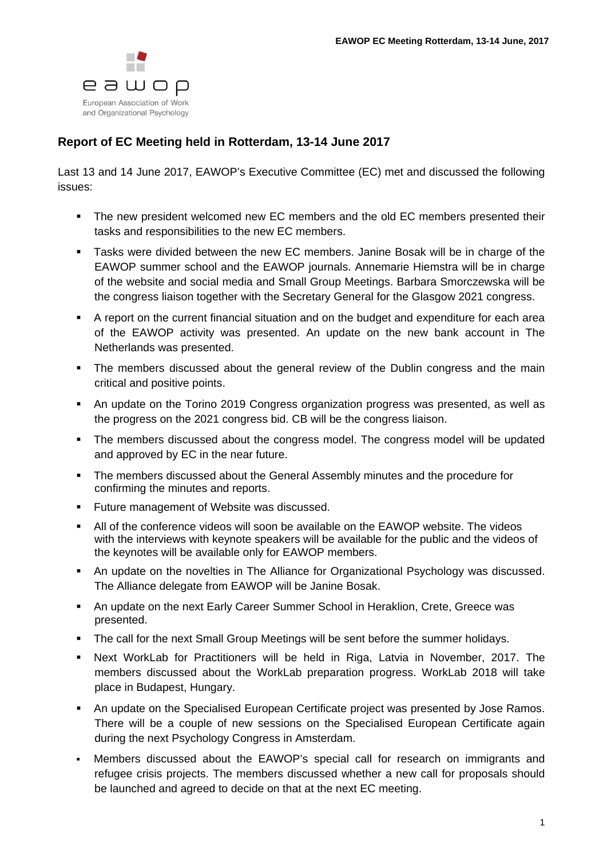

## **Report of EC Meeting held in Rotterdam, 13-14 June 2017**

Last 13 and 14 June 2017, EAWOP's Executive Committee (EC) met and discussed the following issues:

- The new president welcomed new EC members and the old EC members presented their tasks and responsibilities to the new EC members.
- Tasks were divided between the new EC members. Janine Bosak will be in charge of the EAWOP summer school and the EAWOP journals. Annemarie Hiemstra will be in charge of the website and social media and Small Group Meetings. Barbara Smorczewska will be the congress liaison together with the Secretary General for the Glasgow 2021 congress.
- A report on the current financial situation and on the budget and expenditure for each area of the EAWOP activity was presented. An update on the new bank account in The Netherlands was presented.
- The members discussed about the general review of the Dublin congress and the main critical and positive points.
- An update on the Torino 2019 Congress organization progress was presented, as well as the progress on the 2021 congress bid. CB will be the congress liaison.
- The members discussed about the congress model. The congress model will be updated and approved by EC in the near future.
- The members discussed about the General Assembly minutes and the procedure for confirming the minutes and reports.
- **Future management of Website was discussed.**
- All of the conference videos will soon be available on the EAWOP website. The videos with the interviews with keynote speakers will be available for the public and the videos of the keynotes will be available only for EAWOP members.
- An update on the novelties in The Alliance for Organizational Psychology was discussed. The Alliance delegate from EAWOP will be Janine Bosak.
- An update on the next Early Career Summer School in Heraklion, Crete, Greece was presented.
- The call for the next Small Group Meetings will be sent before the summer holidays.
- Next WorkLab for Practitioners will be held in Riga, Latvia in November, 2017. The members discussed about the WorkLab preparation progress. WorkLab 2018 will take place in Budapest, Hungary.
- An update on the Specialised European Certificate project was presented by Jose Ramos. There will be a couple of new sessions on the Specialised European Certificate again during the next Psychology Congress in Amsterdam.
- Members discussed about the EAWOP's special call for research on immigrants and refugee crisis projects. The members discussed whether a new call for proposals should be launched and agreed to decide on that at the next EC meeting.